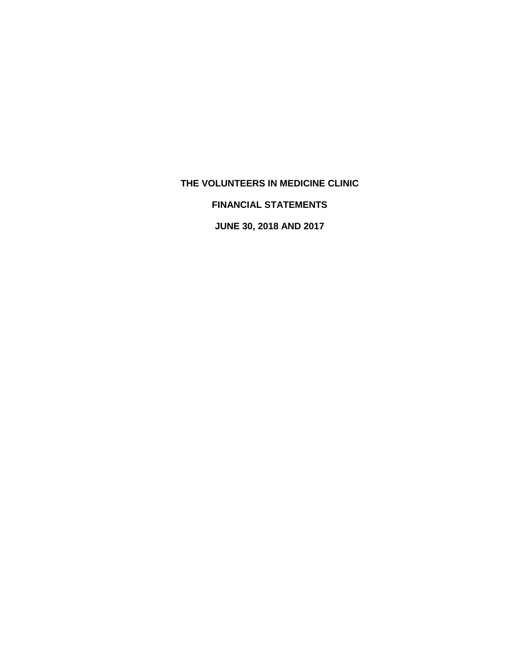# **FINANCIAL STATEMENTS**

**JUNE 30, 2018 AND 2017**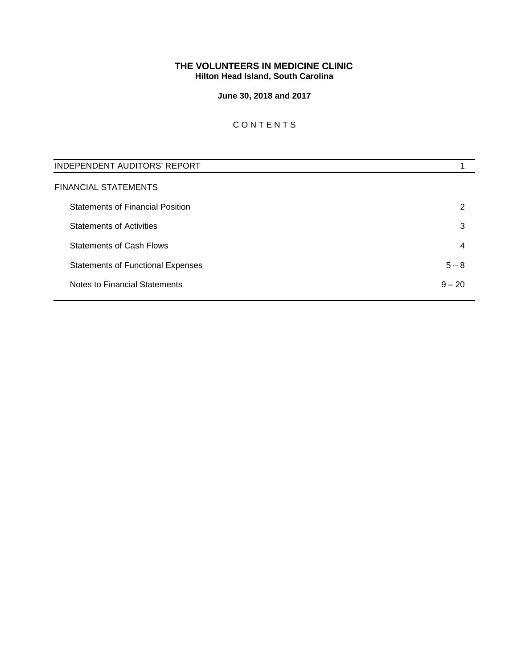# **THE VOLUNTEERS IN MEDICINE CLINIC Hilton Head Island, South Carolina**

# **June 30, 2018 and 2017**

# C O N T E N T S

| <b>INDEPENDENT AUDITORS' REPORT</b>      |          |
|------------------------------------------|----------|
| FINANCIAL STATEMENTS                     |          |
| <b>Statements of Financial Position</b>  | 2        |
| <b>Statements of Activities</b>          | 3        |
| <b>Statements of Cash Flows</b>          | 4        |
| <b>Statements of Functional Expenses</b> | $5 - 8$  |
| Notes to Financial Statements            | $9 - 20$ |
|                                          |          |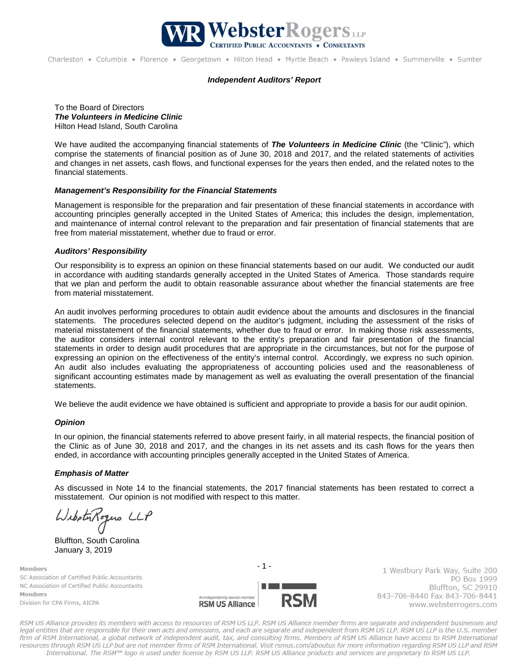

#### *Independent Auditors' Report*

To the Board of Directors *The Volunteers in Medicine Clinic* Hilton Head Island, South Carolina

We have audited the accompanying financial statements of *The Volunteers in Medicine Clinic* (the "Clinic"), which comprise the statements of financial position as of June 30, 2018 and 2017, and the related statements of activities and changes in net assets, cash flows, and functional expenses for the years then ended, and the related notes to the financial statements.

### *Management's Responsibility for the Financial Statements*

Management is responsible for the preparation and fair presentation of these financial statements in accordance with accounting principles generally accepted in the United States of America; this includes the design, implementation, and maintenance of internal control relevant to the preparation and fair presentation of financial statements that are free from material misstatement, whether due to fraud or error.

#### *Auditors' Responsibility*

Our responsibility is to express an opinion on these financial statements based on our audit. We conducted our audit in accordance with auditing standards generally accepted in the United States of America. Those standards require that we plan and perform the audit to obtain reasonable assurance about whether the financial statements are free from material misstatement.

An audit involves performing procedures to obtain audit evidence about the amounts and disclosures in the financial statements. The procedures selected depend on the auditor's judgment, including the assessment of the risks of material misstatement of the financial statements, whether due to fraud or error. In making those risk assessments, the auditor considers internal control relevant to the entity's preparation and fair presentation of the financial statements in order to design audit procedures that are appropriate in the circumstances, but not for the purpose of expressing an opinion on the effectiveness of the entity's internal control. Accordingly, we express no such opinion. An audit also includes evaluating the appropriateness of accounting policies used and the reasonableness of significant accounting estimates made by management as well as evaluating the overall presentation of the financial statements.

We believe the audit evidence we have obtained is sufficient and appropriate to provide a basis for our audit opinion.

#### *Opinion*

In our opinion, the financial statements referred to above present fairly, in all material respects, the financial position of the Clinic as of June 30, 2018 and 2017, and the changes in its net assets and its cash flows for the years then ended, in accordance with accounting principles generally accepted in the United States of America.

#### *Emphasis of Matter*

As discussed in Note 14 to the financial statements, the 2017 financial statements has been restated to correct a misstatement. Our opinion is not modified with respect to this matter.

WilbetuRogens LLP

Bluffton, South Carolina January 3, 2019

Members SC Association of Certified Public Accountants NC Association of Certified Public Accountants Members Division for CPA Firms, AICPA



1 Westbury Park Way, Suite 200 PO Box 1999 Bluffton, SC 29910 843-706-8440 Fax 843-706-8441 www.websterrogers.com

RSM US Alliance provides its members with access to resources of RSM US LLP. RSM US Alliance member firms are separate and independent businesses and legal entities that are responsible for their own acts and omissions, and each are separate and independent from RSM US LLP. RSM US LLP is the U.S. member firm of RSM International, a global network of independent audit, tax, and consulting firms. Members of RSM US Alliance have access to RSM International resources through RSM US LLP but are not member firms of RSM International. Visit rsmus.com/aboutus for more information regarding RSM US LLP and RSM International. The RSM™ logo is used under license by RSM US LLP. RSM US Alliance products and services are proprietary to RSM US LLP.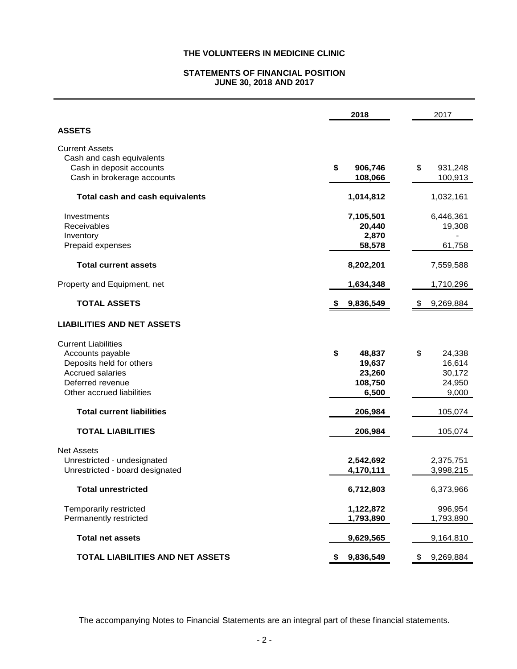# **STATEMENTS OF FINANCIAL POSITION JUNE 30, 2018 AND 2017**

|                                        | 2018            | 2017            |
|----------------------------------------|-----------------|-----------------|
| <b>ASSETS</b>                          |                 |                 |
| <b>Current Assets</b>                  |                 |                 |
| Cash and cash equivalents              |                 |                 |
| Cash in deposit accounts               | \$<br>906,746   | \$<br>931,248   |
| Cash in brokerage accounts             | 108,066         | 100,913         |
| <b>Total cash and cash equivalents</b> | 1,014,812       | 1,032,161       |
| Investments                            | 7,105,501       | 6,446,361       |
| <b>Receivables</b>                     | 20,440          | 19,308          |
| Inventory                              | 2,870           |                 |
| Prepaid expenses                       | 58,578          | 61,758          |
| <b>Total current assets</b>            | 8,202,201       | 7,559,588       |
|                                        |                 |                 |
| Property and Equipment, net            | 1,634,348       | 1,710,296       |
| <b>TOTAL ASSETS</b>                    | 9,836,549<br>S  | 9,269,884<br>\$ |
| <b>LIABILITIES AND NET ASSETS</b>      |                 |                 |
| <b>Current Liabilities</b>             |                 |                 |
| Accounts payable                       | \$<br>48,837    | \$<br>24,338    |
| Deposits held for others               | 19,637          | 16,614          |
| <b>Accrued salaries</b>                | 23,260          | 30,172          |
| Deferred revenue                       | 108,750         | 24,950          |
|                                        |                 |                 |
| Other accrued liabilities              | 6,500           | 9,000           |
| <b>Total current liabilities</b>       | 206,984         | 105,074         |
| <b>TOTAL LIABILITIES</b>               | 206,984         | 105,074         |
| <b>Net Assets</b>                      |                 |                 |
| Unrestricted - undesignated            | 2,542,692       | 2,375,751       |
| Unrestricted - board designated        | 4,170,111       | 3,998,215       |
| <b>Total unrestricted</b>              | 6,712,803       | 6,373,966       |
| Temporarily restricted                 | 1,122,872       | 996,954         |
| Permanently restricted                 | 1,793,890       | 1,793,890       |
| <b>Total net assets</b>                | 9,629,565       | 9,164,810       |
| TOTAL LIABILITIES AND NET ASSETS       | 9,836,549<br>\$ | 9,269,884<br>\$ |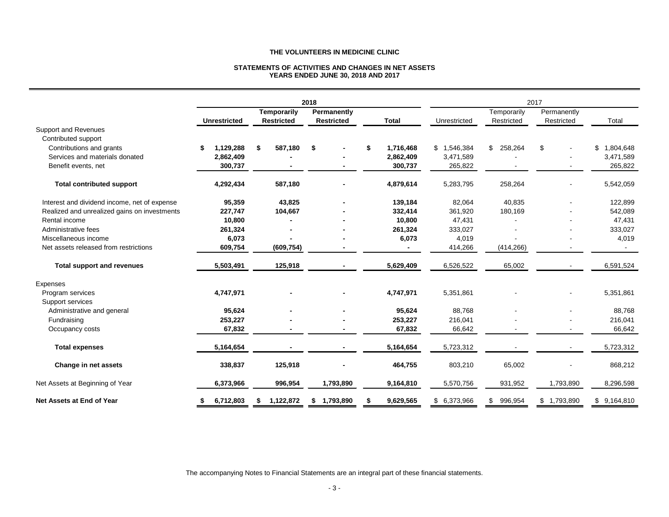#### **STATEMENTS OF ACTIVITIES AND CHANGES IN NET ASSETS YEARS ENDED JUNE 30, 2018 AND 2017**

|                                              |                     |                    | 2018              |                 |              |               | 2017        |             |
|----------------------------------------------|---------------------|--------------------|-------------------|-----------------|--------------|---------------|-------------|-------------|
|                                              |                     | <b>Temporarily</b> | Permanently       |                 |              | Temporarily   | Permanently |             |
|                                              | <b>Unrestricted</b> | <b>Restricted</b>  | <b>Restricted</b> | <b>Total</b>    | Unrestricted | Restricted    | Restricted  | Total       |
| <b>Support and Revenues</b>                  |                     |                    |                   |                 |              |               |             |             |
| Contributed support                          |                     |                    |                   |                 |              |               |             |             |
| Contributions and grants                     | 1.129.288<br>\$     | 587.180<br>Ŝ.      | \$                | \$<br>1,716,468 | \$1,546,384  | \$258,264     | \$          | \$1,804,648 |
| Services and materials donated               | 2,862,409           |                    |                   | 2,862,409       | 3,471,589    |               |             | 3,471,589   |
| Benefit events, net                          | 300,737             |                    |                   | 300,737         | 265,822      |               |             | 265,822     |
| <b>Total contributed support</b>             | 4,292,434           | 587,180            |                   | 4,879,614       | 5,283,795    | 258,264       |             | 5,542,059   |
| Interest and dividend income, net of expense | 95,359              | 43,825             |                   | 139,184         | 82,064       | 40,835        |             | 122,899     |
| Realized and unrealized gains on investments | 227,747             | 104,667            |                   | 332,414         | 361,920      | 180,169       |             | 542,089     |
| Rental income                                | 10,800              |                    |                   | 10.800          | 47,431       |               |             | 47,431      |
| Administrative fees                          | 261,324             |                    |                   | 261,324         | 333,027      |               |             | 333,027     |
| Miscellaneous income                         | 6,073               |                    |                   | 6,073           | 4,019        |               |             | 4,019       |
| Net assets released from restrictions        | 609,754             | (609, 754)         |                   |                 | 414,266      | (414, 266)    |             |             |
| <b>Total support and revenues</b>            | 5,503,491           | 125,918            |                   | 5,629,409       | 6,526,522    | 65,002        |             | 6,591,524   |
| Expenses                                     |                     |                    |                   |                 |              |               |             |             |
| Program services                             | 4,747,971           |                    |                   | 4,747,971       | 5,351,861    |               |             | 5,351,861   |
| Support services                             |                     |                    |                   |                 |              |               |             |             |
| Administrative and general                   | 95,624              |                    |                   | 95,624          | 88,768       |               |             | 88,768      |
| Fundraising                                  | 253,227             |                    |                   | 253,227         | 216,041      |               |             | 216,041     |
| Occupancy costs                              | 67,832              |                    |                   | 67,832          | 66,642       |               |             | 66,642      |
| <b>Total expenses</b>                        | 5,164,654           |                    |                   | 5,164,654       | 5,723,312    |               |             | 5,723,312   |
| Change in net assets                         | 338,837             | 125,918            |                   | 464,755         | 803,210      | 65,002        |             | 868,212     |
| Net Assets at Beginning of Year              | 6,373,966           | 996,954            | 1,793,890         | 9,164,810       | 5,570,756    | 931,952       | 1,793,890   | 8,296,598   |
| <b>Net Assets at End of Year</b>             | 6,712,803           | 1,122,872<br>S     | 1,793,890<br>S.   | 9,629,565       | \$6,373,966  | 996,954<br>\$ | \$1,793,890 | \$9,164,810 |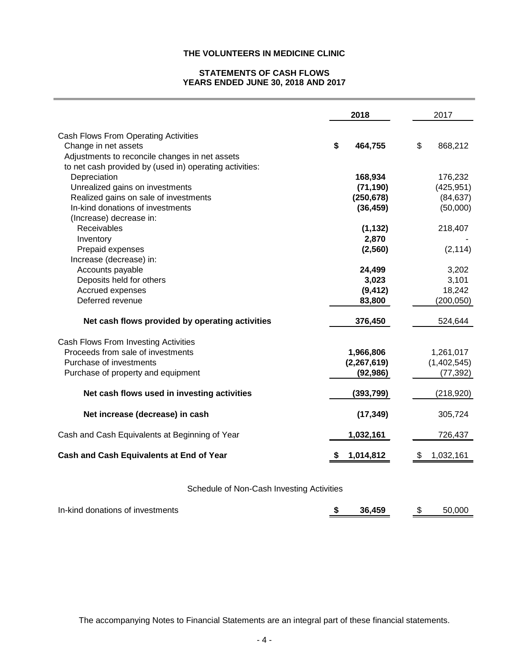# **STATEMENTS OF CASH FLOWS YEARS ENDED JUNE 30, 2018 AND 2017**

|                                                                                                                                                     | 2018                                    | 2017                                   |
|-----------------------------------------------------------------------------------------------------------------------------------------------------|-----------------------------------------|----------------------------------------|
| Cash Flows From Operating Activities<br>Change in net assets<br>Adjustments to reconcile changes in net assets                                      | \$<br>464,755                           | \$<br>868,212                          |
| to net cash provided by (used in) operating activities:<br>Depreciation<br>Unrealized gains on investments<br>Realized gains on sale of investments | 168,934<br>(71, 190)<br>(250, 678)      | 176,232<br>(425, 951)<br>(84, 637)     |
| In-kind donations of investments<br>(Increase) decrease in:                                                                                         | (36, 459)                               | (50,000)                               |
| Receivables<br>Inventory<br>Prepaid expenses<br>Increase (decrease) in:                                                                             | (1, 132)<br>2,870<br>(2, 560)           | 218,407<br>(2, 114)                    |
| Accounts payable<br>Deposits held for others<br>Accrued expenses<br>Deferred revenue                                                                | 24,499<br>3,023<br>(9, 412)<br>83,800   | 3,202<br>3,101<br>18,242<br>(200, 050) |
| Net cash flows provided by operating activities                                                                                                     | 376,450                                 | 524,644                                |
| Cash Flows From Investing Activities<br>Proceeds from sale of investments<br>Purchase of investments<br>Purchase of property and equipment          | 1,966,806<br>(2, 267, 619)<br>(92, 986) | 1,261,017<br>(1,402,545)<br>(77, 392)  |
| Net cash flows used in investing activities                                                                                                         | (393, 799)                              | (218, 920)                             |
| Net increase (decrease) in cash                                                                                                                     | (17, 349)                               | 305,724                                |
| Cash and Cash Equivalents at Beginning of Year                                                                                                      | 1,032,161                               | 726,437                                |
| Cash and Cash Equivalents at End of Year                                                                                                            | 1,014,812<br>æ.                         | 1,032,161<br>æ.                        |
| Cohodule of Non Cook Investiga Astivities                                                                                                           |                                         |                                        |

Schedule of Non-Cash Investing Activities

In-kind donations of investments **\$ 36,459** \$ 50,000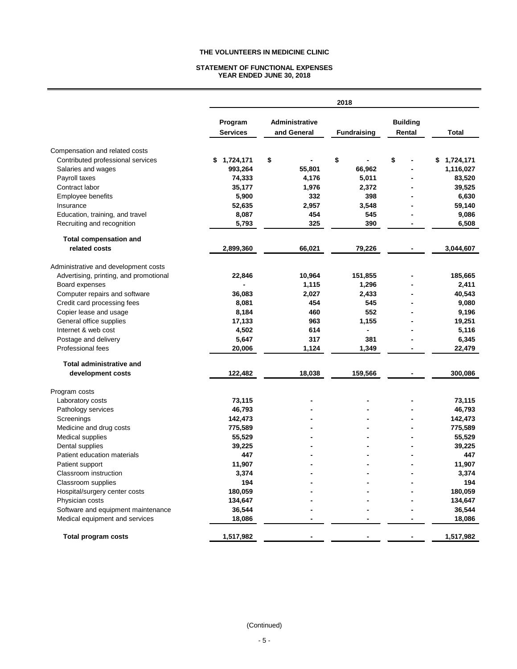#### **STATEMENT OF FUNCTIONAL EXPENSES YEAR ENDED JUNE 30, 2018**

|                                        | 2018                       |                                |                          |                           |                 |  |  |  |  |  |
|----------------------------------------|----------------------------|--------------------------------|--------------------------|---------------------------|-----------------|--|--|--|--|--|
|                                        | Program<br><b>Services</b> | Administrative<br>and General  | <b>Fundraising</b>       | <b>Building</b><br>Rental | <b>Total</b>    |  |  |  |  |  |
| Compensation and related costs         |                            |                                |                          |                           |                 |  |  |  |  |  |
| Contributed professional services      | 1,724,171<br>\$            | \$<br>$\overline{\phantom{0}}$ | \$                       | \$                        | 1,724,171<br>\$ |  |  |  |  |  |
| Salaries and wages                     | 993,264                    | 55,801                         | 66,962                   | $\blacksquare$            | 1,116,027       |  |  |  |  |  |
| Payroll taxes                          | 74,333                     | 4,176                          | 5,011                    |                           | 83,520          |  |  |  |  |  |
| Contract labor                         | 35,177                     | 1,976                          | 2,372                    |                           | 39,525          |  |  |  |  |  |
| Employee benefits                      | 5,900                      | 332                            | 398                      |                           | 6,630           |  |  |  |  |  |
| Insurance                              | 52,635                     | 2,957                          | 3,548                    |                           | 59,140          |  |  |  |  |  |
| Education, training, and travel        | 8,087                      | 454                            | 545                      |                           | 9,086           |  |  |  |  |  |
| Recruiting and recognition             | 5,793                      | 325                            | 390                      |                           | 6,508           |  |  |  |  |  |
| <b>Total compensation and</b>          |                            |                                |                          |                           |                 |  |  |  |  |  |
| related costs                          | 2,899,360                  | 66,021                         | 79,226                   |                           | 3,044,607       |  |  |  |  |  |
| Administrative and development costs   |                            |                                |                          |                           |                 |  |  |  |  |  |
| Advertising, printing, and promotional | 22,846                     | 10,964                         | 151,855                  |                           | 185,665         |  |  |  |  |  |
| Board expenses                         |                            | 1,115                          | 1,296                    |                           | 2,411           |  |  |  |  |  |
| Computer repairs and software          | 36,083                     | 2,027                          | 2,433                    |                           | 40,543          |  |  |  |  |  |
| Credit card processing fees            | 8,081                      | 454                            | 545                      |                           | 9,080           |  |  |  |  |  |
| Copier lease and usage                 | 8,184                      | 460                            | 552                      |                           | 9,196           |  |  |  |  |  |
| General office supplies                | 17,133                     | 963                            | 1,155                    |                           | 19,251          |  |  |  |  |  |
| Internet & web cost                    | 4,502                      | 614                            | $\overline{\phantom{0}}$ |                           | 5,116           |  |  |  |  |  |
| Postage and delivery                   | 5,647                      | 317                            | 381                      |                           | 6,345           |  |  |  |  |  |
| Professional fees                      | 20,006                     | 1,124                          | 1,349                    |                           | 22,479          |  |  |  |  |  |
| <b>Total administrative and</b>        |                            |                                |                          |                           |                 |  |  |  |  |  |
| development costs                      | 122,482                    | 18,038                         | 159,566                  |                           | 300,086         |  |  |  |  |  |
| Program costs                          |                            |                                |                          |                           |                 |  |  |  |  |  |
| Laboratory costs                       | 73,115                     |                                |                          |                           | 73,115          |  |  |  |  |  |
| Pathology services                     | 46,793                     |                                |                          |                           | 46,793          |  |  |  |  |  |
| Screenings                             | 142,473                    |                                |                          |                           | 142,473         |  |  |  |  |  |
| Medicine and drug costs                | 775,589                    |                                |                          |                           | 775,589         |  |  |  |  |  |
| Medical supplies                       | 55,529                     |                                |                          |                           | 55,529          |  |  |  |  |  |
| Dental supplies                        | 39,225                     |                                |                          |                           | 39,225          |  |  |  |  |  |
| Patient education materials            | 447                        |                                |                          |                           | 447             |  |  |  |  |  |
| Patient support                        | 11,907                     |                                |                          |                           | 11,907          |  |  |  |  |  |
| Classroom instruction                  | 3,374                      |                                |                          |                           | 3,374           |  |  |  |  |  |
| Classroom supplies                     | 194                        |                                |                          |                           | 194             |  |  |  |  |  |
| Hospital/surgery center costs          | 180,059                    |                                |                          |                           | 180,059         |  |  |  |  |  |
| Physician costs                        | 134,647                    |                                |                          |                           | 134,647         |  |  |  |  |  |
| Software and equipment maintenance     | 36,544                     |                                |                          |                           | 36,544          |  |  |  |  |  |
| Medical equipment and services         | 18,086                     |                                |                          |                           | 18,086          |  |  |  |  |  |
| <b>Total program costs</b>             | 1,517,982                  |                                |                          |                           | 1,517,982       |  |  |  |  |  |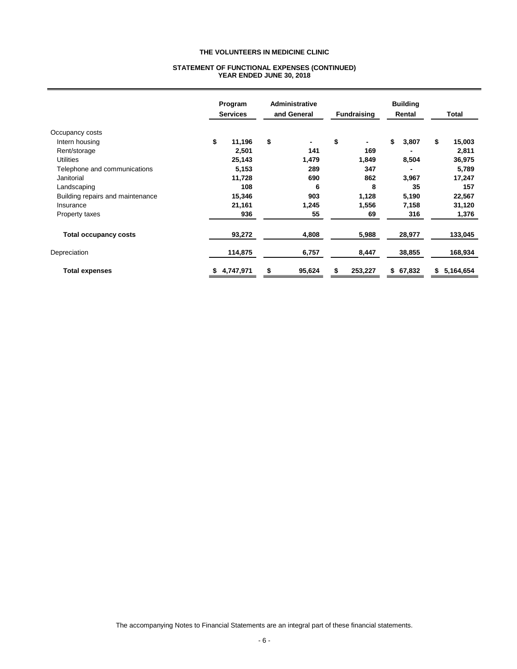#### **STATEMENT OF FUNCTIONAL EXPENSES (CONTINUED) YEAR ENDED JUNE 30, 2018**

|                                  | Program<br><b>Services</b> |           | Administrative<br>and General |        | <b>Fundraising</b> |         | <b>Building</b><br>Rental |          | Total           |
|----------------------------------|----------------------------|-----------|-------------------------------|--------|--------------------|---------|---------------------------|----------|-----------------|
| Occupancy costs                  |                            |           |                               |        |                    |         |                           |          |                 |
| Intern housing                   | \$                         | 11,196    | \$                            | -      | \$                 | ۰.      | \$                        | 3,807    | \$<br>15,003    |
| Rent/storage                     |                            | 2,501     |                               | 141    |                    | 169     |                           |          | 2,811           |
| <b>Utilities</b>                 |                            | 25,143    |                               | 1,479  |                    | 1,849   |                           | 8,504    | 36,975          |
| Telephone and communications     |                            | 5,153     |                               | 289    |                    | 347     |                           |          | 5,789           |
| Janitorial                       |                            | 11,728    |                               | 690    |                    | 862     |                           | 3,967    | 17,247          |
| Landscaping                      |                            | 108       |                               | 6      |                    | 8       |                           | 35       | 157             |
| Building repairs and maintenance |                            | 15,346    |                               | 903    |                    | 1,128   |                           | 5,190    | 22,567          |
| Insurance                        |                            | 21,161    |                               | 1,245  |                    | 1,556   |                           | 7,158    | 31,120          |
| Property taxes                   |                            | 936       |                               | 55     |                    | 69      |                           | 316      | 1,376           |
| <b>Total occupancy costs</b>     |                            | 93,272    |                               | 4,808  |                    | 5,988   |                           | 28,977   | 133,045         |
| Depreciation                     |                            | 114,875   |                               | 6,757  |                    | 8,447   |                           | 38,855   | 168,934         |
| <b>Total expenses</b>            | \$                         | 4,747,971 | \$                            | 95,624 | \$                 | 253,227 |                           | \$67,832 | \$<br>5,164,654 |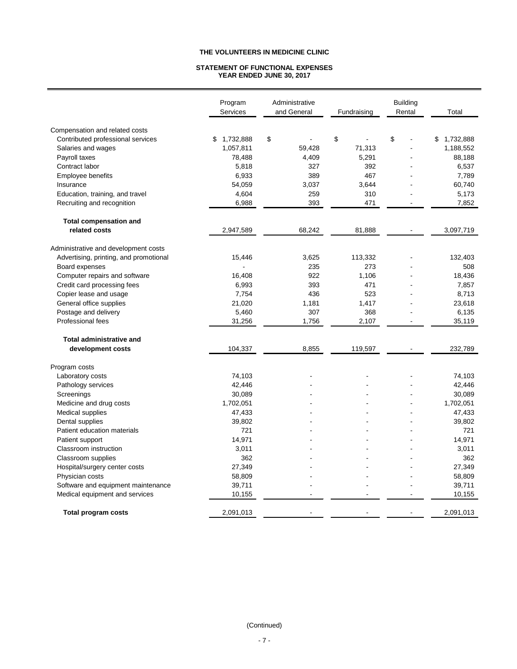#### **STATEMENT OF FUNCTIONAL EXPENSES YEAR ENDED JUNE 30, 2017**

|                                        | Program<br>Services | Administrative<br>and General | Fundraising | <b>Building</b><br>Rental | Total           |
|----------------------------------------|---------------------|-------------------------------|-------------|---------------------------|-----------------|
| Compensation and related costs         |                     |                               |             |                           |                 |
| Contributed professional services      | 1,732,888<br>\$     | \$                            | \$          | \$                        | 1,732,888<br>\$ |
| Salaries and wages                     | 1,057,811           | 59,428                        | 71,313      |                           | 1,188,552       |
| Payroll taxes                          | 78,488              | 4,409                         | 5,291       |                           | 88,188          |
| Contract labor                         | 5,818               | 327                           | 392         |                           | 6,537           |
| <b>Employee benefits</b>               | 6,933               | 389                           | 467         |                           | 7,789           |
| Insurance                              | 54,059              | 3,037                         | 3,644       |                           | 60,740          |
| Education, training, and travel        | 4,604               | 259                           | 310         |                           | 5,173           |
| Recruiting and recognition             | 6,988               | 393                           | 471         | $\blacksquare$            | 7,852           |
| <b>Total compensation and</b>          |                     |                               |             |                           |                 |
| related costs                          | 2,947,589           | 68,242                        | 81,888      |                           | 3,097,719       |
| Administrative and development costs   |                     |                               |             |                           |                 |
| Advertising, printing, and promotional | 15,446              | 3,625                         | 113,332     |                           | 132,403         |
| Board expenses                         |                     | 235                           | 273         |                           | 508             |
| Computer repairs and software          | 16,408              | 922                           | 1,106       |                           | 18,436          |
| Credit card processing fees            | 6,993               | 393                           | 471         |                           | 7,857           |
| Copier lease and usage                 | 7,754               | 436                           | 523         |                           | 8,713           |
| General office supplies                | 21,020              | 1,181                         | 1,417       |                           | 23,618          |
| Postage and delivery                   | 5,460               | 307                           | 368         |                           | 6,135           |
| Professional fees                      | 31,256              | 1,756                         | 2,107       | L,                        | 35,119          |
| <b>Total administrative and</b>        |                     |                               |             |                           |                 |
| development costs                      | 104,337             | 8,855                         | 119,597     |                           | 232,789         |
| Program costs                          |                     |                               |             |                           |                 |
| Laboratory costs                       | 74,103              |                               |             |                           | 74,103          |
| Pathology services                     | 42,446              |                               |             |                           | 42,446          |
| Screenings                             | 30,089              |                               |             |                           | 30,089          |
| Medicine and drug costs                | 1,702,051           |                               |             |                           | 1,702,051       |
| <b>Medical supplies</b>                | 47,433              |                               |             |                           | 47,433          |
| Dental supplies                        | 39,802              |                               |             |                           | 39,802          |
| Patient education materials            | 721                 |                               |             |                           | 721             |
| Patient support                        | 14,971              |                               |             |                           | 14,971          |
| Classroom instruction                  | 3,011               |                               |             |                           | 3,011           |
| Classroom supplies                     | 362                 |                               |             |                           | 362             |
| Hospital/surgery center costs          | 27,349              |                               |             |                           | 27,349          |
| Physician costs                        | 58,809              |                               |             |                           | 58,809          |
| Software and equipment maintenance     | 39,711              |                               |             | L,                        | 39,711          |
| Medical equipment and services         | 10,155              |                               |             |                           | 10,155          |
| <b>Total program costs</b>             | 2,091,013           |                               |             |                           | 2,091,013       |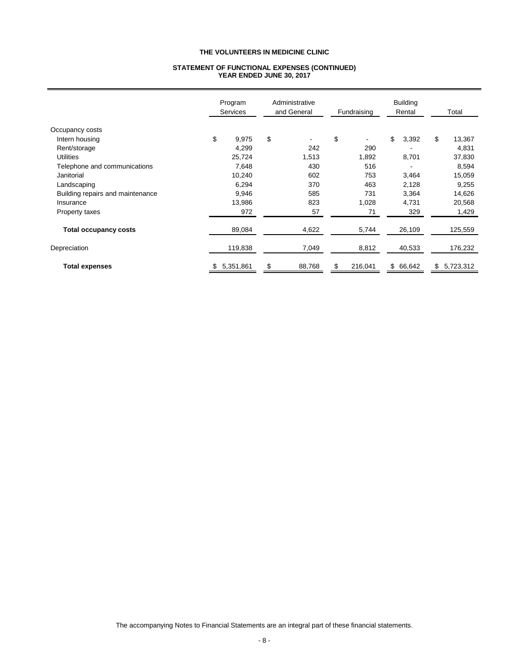#### **STATEMENT OF FUNCTIONAL EXPENSES (CONTINUED) YEAR ENDED JUNE 30, 2017**

|                                  | Program<br><b>Services</b> |           | Administrative<br>and General |                | Fundraising |         | <b>Building</b><br>Rental |          | Total |           |
|----------------------------------|----------------------------|-----------|-------------------------------|----------------|-------------|---------|---------------------------|----------|-------|-----------|
| Occupancy costs                  |                            |           |                               |                |             |         |                           |          |       |           |
| Intern housing                   | \$                         | 9,975     | \$                            | $\blacksquare$ | \$          | ٠       | \$                        | 3,392    | \$    | 13,367    |
| Rent/storage                     |                            | 4,299     |                               | 242            |             | 290     |                           |          |       | 4,831     |
| <b>Utilities</b>                 |                            | 25,724    |                               | 1,513          |             | 1,892   |                           | 8,701    |       | 37,830    |
| Telephone and communications     |                            | 7,648     |                               | 430            |             | 516     |                           |          |       | 8,594     |
| Janitorial                       |                            | 10,240    |                               | 602            |             | 753     |                           | 3,464    |       | 15,059    |
| Landscaping                      |                            | 6,294     |                               | 370            |             | 463     |                           | 2,128    |       | 9,255     |
| Building repairs and maintenance |                            | 9,946     |                               | 585            |             | 731     |                           | 3,364    |       | 14,626    |
| Insurance                        |                            | 13,986    |                               | 823            |             | 1,028   |                           | 4,731    |       | 20,568    |
| Property taxes                   |                            | 972       |                               | 57             |             | 71      |                           | 329      |       | 1,429     |
| <b>Total occupancy costs</b>     |                            | 89,084    |                               | 4,622          |             | 5,744   |                           | 26,109   |       | 125,559   |
| Depreciation                     |                            | 119,838   |                               | 7,049          |             | 8,812   |                           | 40,533   |       | 176,232   |
| <b>Total expenses</b>            | \$                         | 5,351,861 | \$                            | 88,768         | \$          | 216,041 |                           | \$66,642 | \$    | 5,723,312 |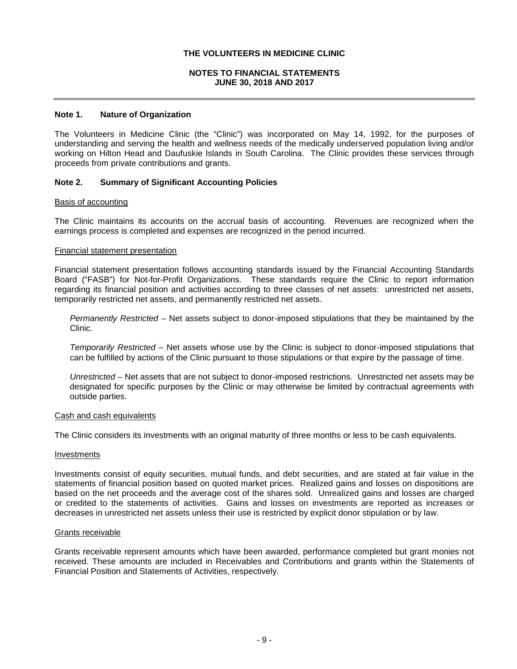# **NOTES TO FINANCIAL STATEMENTS JUNE 30, 2018 AND 2017**

### **Note 1. Nature of Organization**

The Volunteers in Medicine Clinic (the "Clinic") was incorporated on May 14, 1992, for the purposes of understanding and serving the health and wellness needs of the medically underserved population living and/or working on Hilton Head and Daufuskie Islands in South Carolina. The Clinic provides these services through proceeds from private contributions and grants.

### **Note 2. Summary of Significant Accounting Policies**

#### Basis of accounting

The Clinic maintains its accounts on the accrual basis of accounting. Revenues are recognized when the earnings process is completed and expenses are recognized in the period incurred.

#### Financial statement presentation

Financial statement presentation follows accounting standards issued by the Financial Accounting Standards Board ("FASB") for Not-for-Profit Organizations. These standards require the Clinic to report information regarding its financial position and activities according to three classes of net assets: unrestricted net assets, temporarily restricted net assets, and permanently restricted net assets.

*Permanently Restricted* – Net assets subject to donor-imposed stipulations that they be maintained by the Clinic.

*Temporarily Restricted* – Net assets whose use by the Clinic is subject to donor-imposed stipulations that can be fulfilled by actions of the Clinic pursuant to those stipulations or that expire by the passage of time.

*Unrestricted* – Net assets that are not subject to donor-imposed restrictions. Unrestricted net assets may be designated for specific purposes by the Clinic or may otherwise be limited by contractual agreements with outside parties.

## Cash and cash equivalents

The Clinic considers its investments with an original maturity of three months or less to be cash equivalents.

#### Investments

Investments consist of equity securities, mutual funds, and debt securities, and are stated at fair value in the statements of financial position based on quoted market prices. Realized gains and losses on dispositions are based on the net proceeds and the average cost of the shares sold. Unrealized gains and losses are charged or credited to the statements of activities. Gains and losses on investments are reported as increases or decreases in unrestricted net assets unless their use is restricted by explicit donor stipulation or by law.

#### Grants receivable

Grants receivable represent amounts which have been awarded, performance completed but grant monies not received. These amounts are included in Receivables and Contributions and grants within the Statements of Financial Position and Statements of Activities, respectively.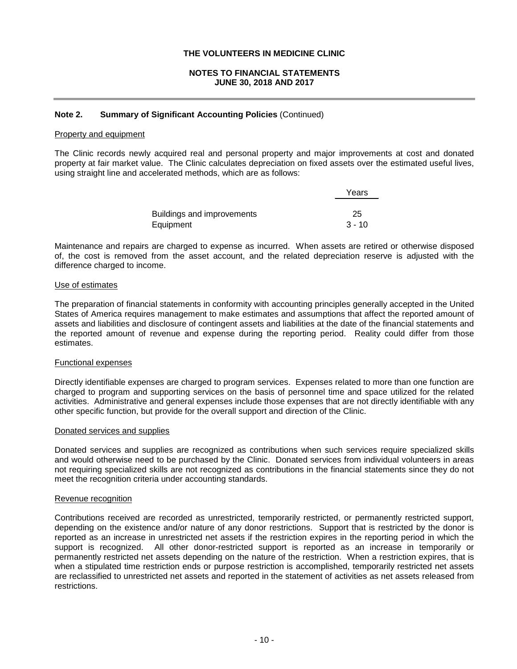## **NOTES TO FINANCIAL STATEMENTS JUNE 30, 2018 AND 2017**

### **Note 2. Summary of Significant Accounting Policies** (Continued)

#### Property and equipment

The Clinic records newly acquired real and personal property and major improvements at cost and donated property at fair market value. The Clinic calculates depreciation on fixed assets over the estimated useful lives, using straight line and accelerated methods, which are as follows:

|                            | Years    |
|----------------------------|----------|
|                            |          |
| Buildings and improvements | 25       |
| Equipment                  | $3 - 10$ |

Maintenance and repairs are charged to expense as incurred. When assets are retired or otherwise disposed of, the cost is removed from the asset account, and the related depreciation reserve is adjusted with the difference charged to income.

#### Use of estimates

The preparation of financial statements in conformity with accounting principles generally accepted in the United States of America requires management to make estimates and assumptions that affect the reported amount of assets and liabilities and disclosure of contingent assets and liabilities at the date of the financial statements and the reported amount of revenue and expense during the reporting period. Reality could differ from those estimates.

#### Functional expenses

Directly identifiable expenses are charged to program services. Expenses related to more than one function are charged to program and supporting services on the basis of personnel time and space utilized for the related activities. Administrative and general expenses include those expenses that are not directly identifiable with any other specific function, but provide for the overall support and direction of the Clinic.

#### Donated services and supplies

Donated services and supplies are recognized as contributions when such services require specialized skills and would otherwise need to be purchased by the Clinic. Donated services from individual volunteers in areas not requiring specialized skills are not recognized as contributions in the financial statements since they do not meet the recognition criteria under accounting standards.

#### Revenue recognition

Contributions received are recorded as unrestricted, temporarily restricted, or permanently restricted support, depending on the existence and/or nature of any donor restrictions. Support that is restricted by the donor is reported as an increase in unrestricted net assets if the restriction expires in the reporting period in which the support is recognized. All other donor-restricted support is reported as an increase in temporarily or permanently restricted net assets depending on the nature of the restriction. When a restriction expires, that is when a stipulated time restriction ends or purpose restriction is accomplished, temporarily restricted net assets are reclassified to unrestricted net assets and reported in the statement of activities as net assets released from restrictions.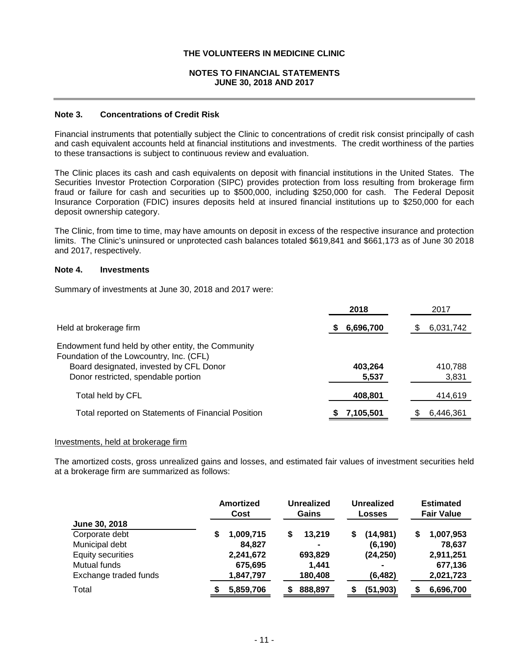# **NOTES TO FINANCIAL STATEMENTS JUNE 30, 2018 AND 2017**

# **Note 3. Concentrations of Credit Risk**

Financial instruments that potentially subject the Clinic to concentrations of credit risk consist principally of cash and cash equivalent accounts held at financial institutions and investments. The credit worthiness of the parties to these transactions is subject to continuous review and evaluation.

The Clinic places its cash and cash equivalents on deposit with financial institutions in the United States. The Securities Investor Protection Corporation (SIPC) provides protection from loss resulting from brokerage firm fraud or failure for cash and securities up to \$500,000, including \$250,000 for cash. The Federal Deposit Insurance Corporation (FDIC) insures deposits held at insured financial institutions up to \$250,000 for each deposit ownership category.

The Clinic, from time to time, may have amounts on deposit in excess of the respective insurance and protection limits. The Clinic's uninsured or unprotected cash balances totaled \$619,841 and \$661,173 as of June 30 2018 and 2017, respectively.

### **Note 4. Investments**

Summary of investments at June 30, 2018 and 2017 were:

|                                                    | 2018      | 2017      |
|----------------------------------------------------|-----------|-----------|
| Held at brokerage firm                             | 6,696,700 | 6,031,742 |
| Endowment fund held by other entity, the Community |           |           |
| Foundation of the Lowcountry, Inc. (CFL)           |           |           |
| Board designated, invested by CFL Donor            | 403,264   | 410,788   |
| Donor restricted, spendable portion                | 5,537     | 3,831     |
| Total held by CFL                                  | 408,801   | 414,619   |
| Total reported on Statements of Financial Position | 7,105,501 | 6.446.361 |

#### Investments, held at brokerage firm

The amortized costs, gross unrealized gains and losses, and estimated fair values of investment securities held at a brokerage firm are summarized as follows:

|                       |   | Amortized<br>Cost |   | <b>Unrealized</b><br>Gains |  | Unrealized<br><b>Losses</b> |    | <b>Estimated</b><br><b>Fair Value</b> |
|-----------------------|---|-------------------|---|----------------------------|--|-----------------------------|----|---------------------------------------|
| June 30, 2018         |   |                   |   |                            |  |                             |    |                                       |
| Corporate debt        | S | 1,009,715         | S | 13.219                     |  | (14, 981)                   | \$ | 1,007,953                             |
| Municipal debt        |   | 84,827            |   | $\blacksquare$             |  | (6, 190)                    |    | 78,637                                |
| Equity securities     |   | 2,241,672         |   | 693,829                    |  | (24, 250)                   |    | 2,911,251                             |
| Mutual funds          |   | 675,695           |   | 1.441                      |  | $\blacksquare$              |    | 677,136                               |
| Exchange traded funds |   | 1,847,797         |   | 180,408                    |  | (6, 482)                    |    | 2,021,723                             |
| Total                 |   | 5,859,706         |   | 888,897                    |  | (51, 903)                   |    | 6,696,700                             |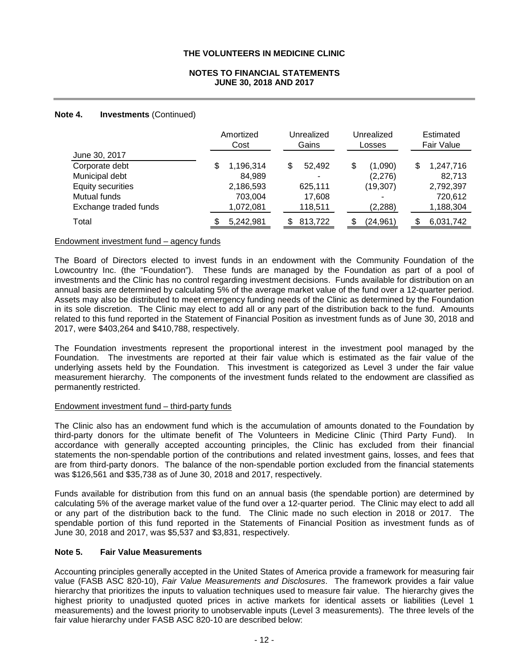# **NOTES TO FINANCIAL STATEMENTS JUNE 30, 2018 AND 2017**

# **Note 4. Investments** (Continued)

|                          | Amortized<br>Cost |    | Unrealized<br>Gains |   | Unrealized<br>Losses |    | Estimated<br>Fair Value |
|--------------------------|-------------------|----|---------------------|---|----------------------|----|-------------------------|
| June 30, 2017            |                   |    |                     |   |                      |    |                         |
| Corporate debt           | \$<br>1,196,314   | \$ | 52,492              | S | (1,090)              | \$ | 1,247,716               |
| Municipal debt           | 84,989            |    | ٠                   |   | (2,276)              |    | 82,713                  |
| <b>Equity securities</b> | 2,186,593         |    | 625.111             |   | (19, 307)            |    | 2,792,397               |
| Mutual funds             | 703,004           |    | 17,608              |   |                      |    | 720,612                 |
| Exchange traded funds    | 1,072,081         |    | 118,511             |   | (2, 288)             |    | 1,188,304               |
| Total                    | 5,242,981         | S  | 813,722             |   | (24, 961)            | S. | 6,031,742               |

### Endowment investment fund – agency funds

The Board of Directors elected to invest funds in an endowment with the Community Foundation of the Lowcountry Inc. (the "Foundation"). These funds are managed by the Foundation as part of a pool of investments and the Clinic has no control regarding investment decisions. Funds available for distribution on an annual basis are determined by calculating 5% of the average market value of the fund over a 12-quarter period. Assets may also be distributed to meet emergency funding needs of the Clinic as determined by the Foundation in its sole discretion. The Clinic may elect to add all or any part of the distribution back to the fund. Amounts related to this fund reported in the Statement of Financial Position as investment funds as of June 30, 2018 and 2017, were \$403,264 and \$410,788, respectively.

The Foundation investments represent the proportional interest in the investment pool managed by the Foundation. The investments are reported at their fair value which is estimated as the fair value of the underlying assets held by the Foundation. This investment is categorized as Level 3 under the fair value measurement hierarchy. The components of the investment funds related to the endowment are classified as permanently restricted.

# Endowment investment fund – third-party funds

The Clinic also has an endowment fund which is the accumulation of amounts donated to the Foundation by third-party donors for the ultimate benefit of The Volunteers in Medicine Clinic (Third Party Fund). In accordance with generally accepted accounting principles, the Clinic has excluded from their financial statements the non-spendable portion of the contributions and related investment gains, losses, and fees that are from third-party donors. The balance of the non-spendable portion excluded from the financial statements was \$126,561 and \$35,738 as of June 30, 2018 and 2017, respectively.

Funds available for distribution from this fund on an annual basis (the spendable portion) are determined by calculating 5% of the average market value of the fund over a 12-quarter period. The Clinic may elect to add all or any part of the distribution back to the fund. The Clinic made no such election in 2018 or 2017. The spendable portion of this fund reported in the Statements of Financial Position as investment funds as of June 30, 2018 and 2017, was \$5,537 and \$3,831, respectively.

# **Note 5. Fair Value Measurements**

Accounting principles generally accepted in the United States of America provide a framework for measuring fair value (FASB ASC 820-10), *Fair Value Measurements and Disclosures*. The framework provides a fair value hierarchy that prioritizes the inputs to valuation techniques used to measure fair value. The hierarchy gives the highest priority to unadjusted quoted prices in active markets for identical assets or liabilities (Level 1 measurements) and the lowest priority to unobservable inputs (Level 3 measurements). The three levels of the fair value hierarchy under FASB ASC 820-10 are described below: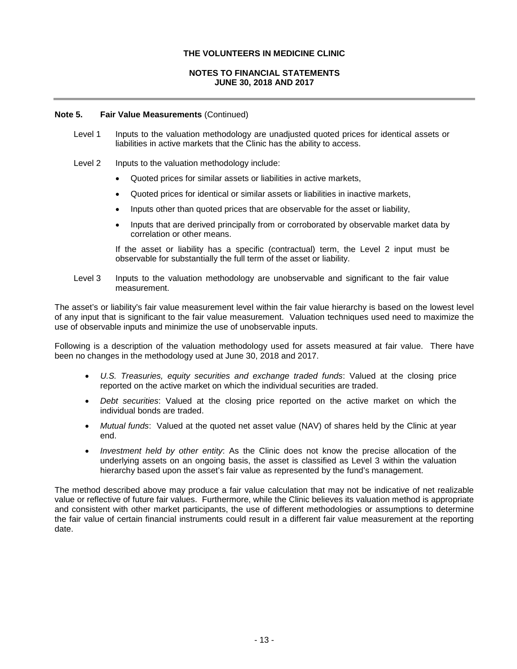# **NOTES TO FINANCIAL STATEMENTS JUNE 30, 2018 AND 2017**

### **Note 5. Fair Value Measurements** (Continued)

- Level 1 Inputs to the valuation methodology are unadjusted quoted prices for identical assets or liabilities in active markets that the Clinic has the ability to access.
- Level 2 Inputs to the valuation methodology include:
	- Quoted prices for similar assets or liabilities in active markets,
	- Quoted prices for identical or similar assets or liabilities in inactive markets,
	- Inputs other than quoted prices that are observable for the asset or liability,
	- Inputs that are derived principally from or corroborated by observable market data by correlation or other means.

If the asset or liability has a specific (contractual) term, the Level 2 input must be observable for substantially the full term of the asset or liability.

Level 3 Inputs to the valuation methodology are unobservable and significant to the fair value measurement.

The asset's or liability's fair value measurement level within the fair value hierarchy is based on the lowest level of any input that is significant to the fair value measurement. Valuation techniques used need to maximize the use of observable inputs and minimize the use of unobservable inputs.

Following is a description of the valuation methodology used for assets measured at fair value. There have been no changes in the methodology used at June 30, 2018 and 2017.

- *U.S. Treasuries, equity securities and exchange traded funds*: Valued at the closing price reported on the active market on which the individual securities are traded.
- *Debt securities*: Valued at the closing price reported on the active market on which the individual bonds are traded.
- *Mutual funds*: Valued at the quoted net asset value (NAV) of shares held by the Clinic at year end.
- *Investment held by other entity*: As the Clinic does not know the precise allocation of the underlying assets on an ongoing basis, the asset is classified as Level 3 within the valuation hierarchy based upon the asset's fair value as represented by the fund's management.

The method described above may produce a fair value calculation that may not be indicative of net realizable value or reflective of future fair values. Furthermore, while the Clinic believes its valuation method is appropriate and consistent with other market participants, the use of different methodologies or assumptions to determine the fair value of certain financial instruments could result in a different fair value measurement at the reporting date.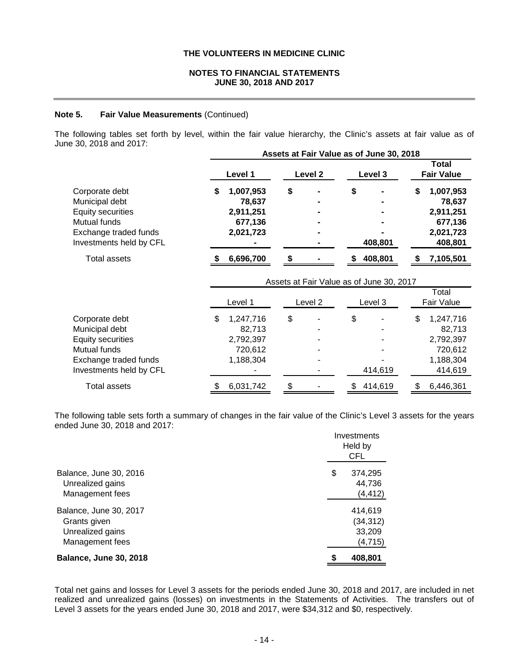## **NOTES TO FINANCIAL STATEMENTS JUNE 30, 2018 AND 2017**

#### **Note 5. Fair Value Measurements** (Continued)

The following tables set forth by level, within the fair value hierarchy, the Clinic's assets at fair value as of June 30, 2018 and 2017:

|                                                                                                                                  | Assets at Fair Value as of June 30, 2018                       |    |                    |    |                                          |    |                                                                     |
|----------------------------------------------------------------------------------------------------------------------------------|----------------------------------------------------------------|----|--------------------|----|------------------------------------------|----|---------------------------------------------------------------------|
|                                                                                                                                  | Level 1                                                        |    | Level <sub>2</sub> |    | Level 3                                  |    | <b>Total</b><br><b>Fair Value</b>                                   |
| Corporate debt<br>Municipal debt<br><b>Equity securities</b><br>Mutual funds<br>Exchange traded funds<br>Investments held by CFL | \$<br>1,007,953<br>78,637<br>2,911,251<br>677,136<br>2,021,723 | \$ |                    | \$ | 408,801                                  | \$ | 1,007,953<br>78,637<br>2,911,251<br>677,136<br>2,021,723<br>408,801 |
| <b>Total assets</b>                                                                                                              | 6,696,700                                                      |    |                    |    | 408,801                                  |    | 7,105,501                                                           |
|                                                                                                                                  |                                                                |    |                    |    | Assets at Fair Value as of June 30, 2017 |    |                                                                     |
|                                                                                                                                  | Level 1                                                        |    | Level 2            |    | Level 3                                  |    | Total<br>Fair Value                                                 |
| Corporate debt<br>Municipal debt<br><b>Equity securities</b><br>Mutual funds<br>Exchange traded funds<br>Investments held by CFL | \$<br>1,247,716<br>82,713<br>2,792,397<br>720,612<br>1,188,304 | \$ |                    | \$ | 414,619                                  | \$ | 1,247,716<br>82,713<br>2,792,397<br>720,612<br>1,188,304<br>414,619 |
| <b>Total assets</b>                                                                                                              | \$<br>6,031,742                                                | \$ |                    | \$ | 414,619                                  | \$ | 6,446,361                                                           |

The following table sets forth a summary of changes in the fair value of the Clinic's Level 3 assets for the years ended June 30, 2018 and 2017: Investments

|                                                                               | THESUTENIS<br>Held by<br><b>CFL</b>        |  |  |
|-------------------------------------------------------------------------------|--------------------------------------------|--|--|
| Balance, June 30, 2016<br>Unrealized gains<br>Management fees                 | \$<br>374,295<br>44,736<br>(4, 412)        |  |  |
| Balance, June 30, 2017<br>Grants given<br>Unrealized gains<br>Management fees | 414,619<br>(34, 312)<br>33,209<br>(4, 715) |  |  |
| <b>Balance, June 30, 2018</b>                                                 | \$<br>408,801                              |  |  |

Total net gains and losses for Level 3 assets for the periods ended June 30, 2018 and 2017, are included in net realized and unrealized gains (losses) on investments in the Statements of Activities. The transfers out of Level 3 assets for the years ended June 30, 2018 and 2017, were \$34,312 and \$0, respectively.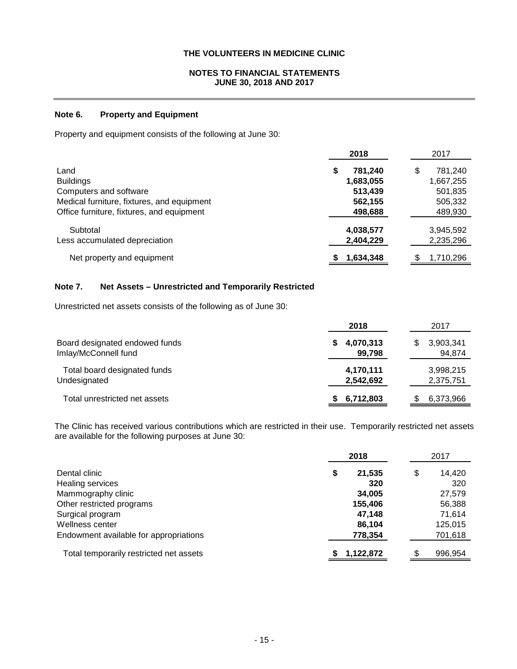# **NOTES TO FINANCIAL STATEMENTS JUNE 30, 2018 AND 2017**

# **Note 6. Property and Equipment**

Property and equipment consists of the following at June 30:

|                                            | 2018           | 2017         |
|--------------------------------------------|----------------|--------------|
| Land                                       | 781.240<br>S   | 781,240<br>S |
| <b>Buildings</b>                           | 1,683,055      | 1,667,255    |
| Computers and software                     | 513,439        | 501,835      |
| Medical furniture, fixtures, and equipment | 562,155        | 505,332      |
| Office furniture, fixtures, and equipment  | 498,688        | 489,930      |
| Subtotal                                   | 4,038,577      | 3,945,592    |
| Less accumulated depreciation              | 2,404,229      | 2,235,296    |
| Net property and equipment                 | S<br>1,634,348 | 1.710.296    |

# **Note 7. Net Assets – Unrestricted and Temporarily Restricted**

Unrestricted net assets consists of the following as of June 30:

|                                                        | 2018                   | 2017                     |
|--------------------------------------------------------|------------------------|--------------------------|
| Board designated endowed funds<br>Imlay/McConnell fund | 4,070,313<br>99,798    | 3,903,341<br>S<br>94,874 |
| Total board designated funds<br>Undesignated           | 4,170,111<br>2,542,692 | 3,998,215<br>2,375,751   |
| Total unrestricted net assets                          | 6,712,803              | 6,373,966                |

The Clinic has received various contributions which are restricted in their use. Temporarily restricted net assets are available for the following purposes at June 30:

|                                         | 2018         |    | 2017    |  |
|-----------------------------------------|--------------|----|---------|--|
| Dental clinic                           | 21,535<br>\$ | \$ | 14,420  |  |
| Healing services                        | 320          |    | 320     |  |
| Mammography clinic                      | 34,005       |    | 27,579  |  |
| Other restricted programs               | 155,406      |    | 56,388  |  |
| Surgical program                        | 47,148       |    | 71,614  |  |
| Wellness center                         | 86,104       |    | 125,015 |  |
| Endowment available for appropriations  | 778,354      |    | 701,618 |  |
| Total temporarily restricted net assets | 1,122,872    |    | 996.954 |  |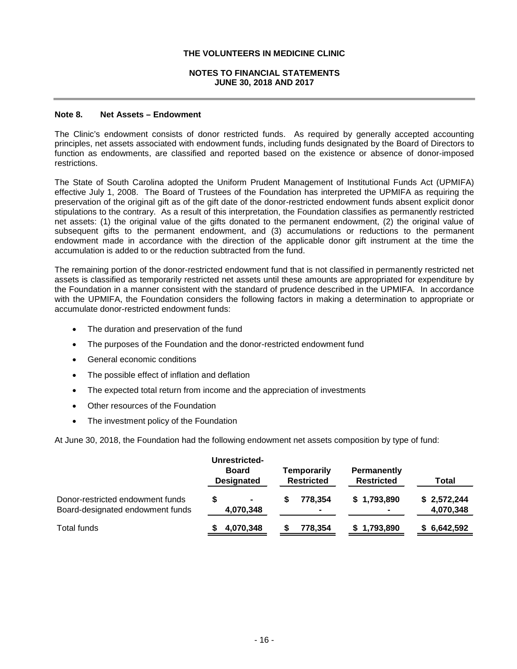## **NOTES TO FINANCIAL STATEMENTS JUNE 30, 2018 AND 2017**

### **Note 8. Net Assets – Endowment**

The Clinic's endowment consists of donor restricted funds. As required by generally accepted accounting principles, net assets associated with endowment funds, including funds designated by the Board of Directors to function as endowments, are classified and reported based on the existence or absence of donor-imposed restrictions.

The State of South Carolina adopted the Uniform Prudent Management of Institutional Funds Act (UPMIFA) effective July 1, 2008. The Board of Trustees of the Foundation has interpreted the UPMIFA as requiring the preservation of the original gift as of the gift date of the donor-restricted endowment funds absent explicit donor stipulations to the contrary. As a result of this interpretation, the Foundation classifies as permanently restricted net assets: (1) the original value of the gifts donated to the permanent endowment, (2) the original value of subsequent gifts to the permanent endowment, and (3) accumulations or reductions to the permanent endowment made in accordance with the direction of the applicable donor gift instrument at the time the accumulation is added to or the reduction subtracted from the fund.

The remaining portion of the donor-restricted endowment fund that is not classified in permanently restricted net assets is classified as temporarily restricted net assets until these amounts are appropriated for expenditure by the Foundation in a manner consistent with the standard of prudence described in the UPMIFA. In accordance with the UPMIFA, the Foundation considers the following factors in making a determination to appropriate or accumulate donor-restricted endowment funds:

- The duration and preservation of the fund
- The purposes of the Foundation and the donor-restricted endowment fund
- General economic conditions
- The possible effect of inflation and deflation
- The expected total return from income and the appreciation of investments
- Other resources of the Foundation
- The investment policy of the Foundation

At June 30, 2018, the Foundation had the following endowment net assets composition by type of fund:

|                                                                      | Unrestricted-<br><b>Board</b><br><b>Designated</b> | Temporarily<br><b>Restricted</b> | Permanently<br><b>Restricted</b> | Total                    |
|----------------------------------------------------------------------|----------------------------------------------------|----------------------------------|----------------------------------|--------------------------|
| Donor-restricted endowment funds<br>Board-designated endowment funds | $\blacksquare$<br>4,070,348                        | 778.354                          | \$1,793,890                      | \$2,572,244<br>4,070,348 |
| Total funds                                                          | 4,070,348                                          | 778,354                          | 1,793,890                        | \$6,642,592              |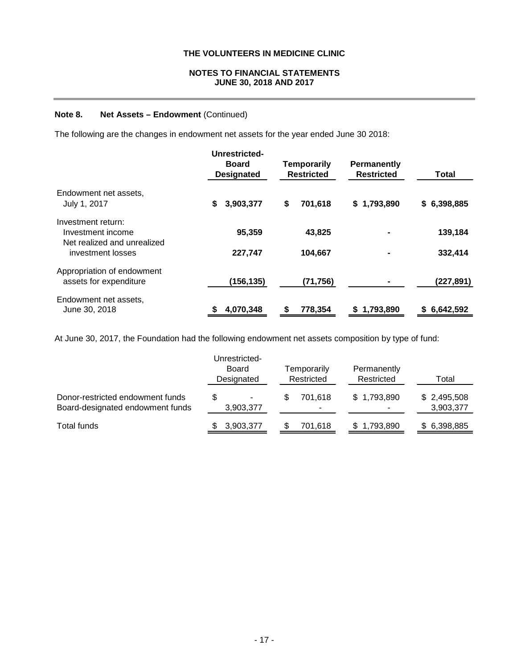# **NOTES TO FINANCIAL STATEMENTS JUNE 30, 2018 AND 2017**

# **Note 8. Net Assets – Endowment** (Continued)

The following are the changes in endowment net assets for the year ended June 30 2018:

|                                                                        | Unrestricted-<br><b>Board</b><br><b>Temporarily</b><br><b>Restricted</b><br><b>Designated</b> |               | <b>Permanently</b><br><b>Restricted</b> | <b>Total</b>    |  |
|------------------------------------------------------------------------|-----------------------------------------------------------------------------------------------|---------------|-----------------------------------------|-----------------|--|
| Endowment net assets,<br>July 1, 2017                                  | \$<br>3,903,377                                                                               | \$<br>701,618 | \$1,793,890                             | \$6,398,885     |  |
| Investment return:<br>Investment income<br>Net realized and unrealized | 95,359                                                                                        | 43,825        |                                         | 139,184         |  |
| investment losses                                                      | 227,747                                                                                       | 104,667       |                                         | 332,414         |  |
| Appropriation of endowment<br>assets for expenditure                   | (156, 135)                                                                                    | (71, 756)     |                                         | (227, 891)      |  |
| Endowment net assets,<br>June 30, 2018                                 | 4,070,348                                                                                     | 778,354       | 1,793,890<br>S.                         | 6,642,592<br>S. |  |

At June 30, 2017, the Foundation had the following endowment net assets composition by type of fund:

|                                                                      | Unrestricted-<br><b>Board</b><br>Designated | Temporarily<br>Restricted | Permanently<br>Restricted | Total                    |
|----------------------------------------------------------------------|---------------------------------------------|---------------------------|---------------------------|--------------------------|
| Donor-restricted endowment funds<br>Board-designated endowment funds | \$.<br>۰<br>3,903,377                       | 701.618<br>۰              | \$1,793,890               | \$2,495,508<br>3,903,377 |
| Total funds                                                          | 3,903,377                                   | 701.618                   | \$1,793,890               | \$ 6,398,885             |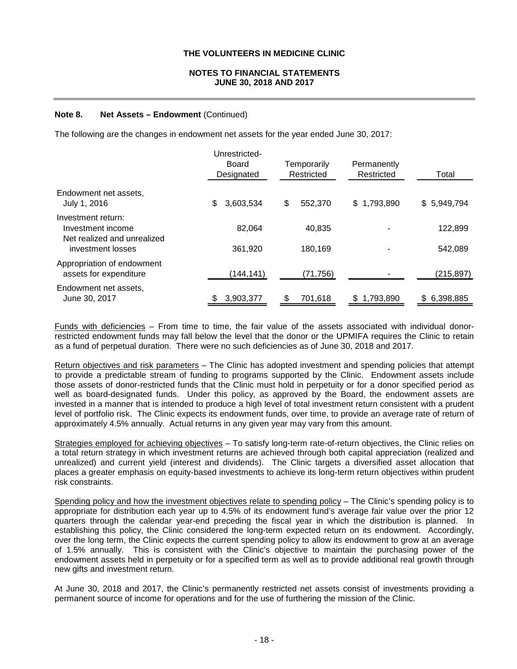# **NOTES TO FINANCIAL STATEMENTS JUNE 30, 2018 AND 2017**

# **Note 8. Net Assets – Endowment** (Continued)

The following are the changes in endowment net assets for the year ended June 30, 2017:

|                                                                        | Unrestricted-<br>Board<br>Designated | Temporarily<br>Restricted | Permanently<br>Restricted | Total        |
|------------------------------------------------------------------------|--------------------------------------|---------------------------|---------------------------|--------------|
| Endowment net assets,<br>July 1, 2016                                  | \$<br>3,603,534                      | \$<br>552,370             | \$1,793,890               | \$ 5,949,794 |
| Investment return:<br>Investment income<br>Net realized and unrealized | 82,064                               | 40.835                    |                           | 122,899      |
| investment losses                                                      | 361,920                              | 180,169                   |                           | 542,089      |
| Appropriation of endowment<br>assets for expenditure                   | (144, 141)                           | (71, 756)                 |                           | (215,897)    |
| Endowment net assets,<br>June 30, 2017                                 | \$<br>3,903,377                      | \$<br>701.618             | 1.793.890<br>\$.          | \$ 6,398,885 |

Funds with deficiencies – From time to time, the fair value of the assets associated with individual donorrestricted endowment funds may fall below the level that the donor or the UPMIFA requires the Clinic to retain as a fund of perpetual duration. There were no such deficiencies as of June 30, 2018 and 2017.

Return objectives and risk parameters – The Clinic has adopted investment and spending policies that attempt to provide a predictable stream of funding to programs supported by the Clinic. Endowment assets include those assets of donor-restricted funds that the Clinic must hold in perpetuity or for a donor specified period as well as board-designated funds. Under this policy, as approved by the Board, the endowment assets are invested in a manner that is intended to produce a high level of total investment return consistent with a prudent level of portfolio risk. The Clinic expects its endowment funds, over time, to provide an average rate of return of approximately 4.5% annually. Actual returns in any given year may vary from this amount.

Strategies employed for achieving objectives – To satisfy long-term rate-of-return objectives, the Clinic relies on a total return strategy in which investment returns are achieved through both capital appreciation (realized and unrealized) and current yield (interest and dividends). The Clinic targets a diversified asset allocation that places a greater emphasis on equity-based investments to achieve its long-term return objectives within prudent risk constraints.

Spending policy and how the investment objectives relate to spending policy – The Clinic's spending policy is to appropriate for distribution each year up to 4.5% of its endowment fund's average fair value over the prior 12 quarters through the calendar year-end preceding the fiscal year in which the distribution is planned. In establishing this policy, the Clinic considered the long-term expected return on its endowment. Accordingly, over the long term, the Clinic expects the current spending policy to allow its endowment to grow at an average of 1.5% annually. This is consistent with the Clinic's objective to maintain the purchasing power of the endowment assets held in perpetuity or for a specified term as well as to provide additional real growth through new gifts and investment return.

At June 30, 2018 and 2017, the Clinic's permanently restricted net assets consist of investments providing a permanent source of income for operations and for the use of furthering the mission of the Clinic.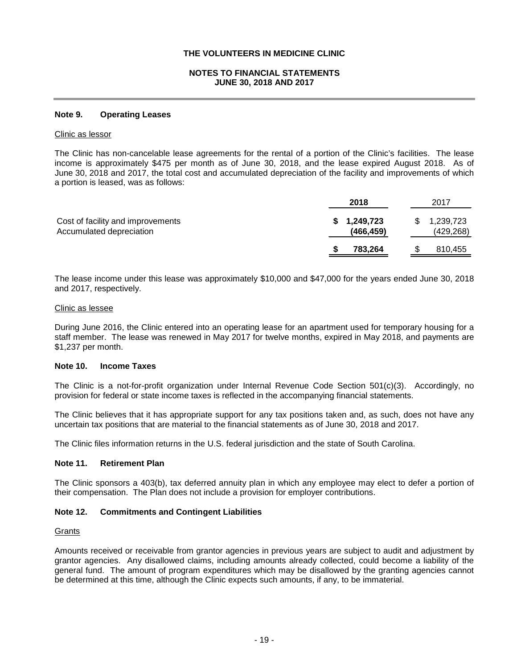## **NOTES TO FINANCIAL STATEMENTS JUNE 30, 2018 AND 2017**

#### **Note 9. Operating Leases**

#### Clinic as lessor

The Clinic has non-cancelable lease agreements for the rental of a portion of the Clinic's facilities. The lease income is approximately \$475 per month as of June 30, 2018, and the lease expired August 2018. As of June 30, 2018 and 2017, the total cost and accumulated depreciation of the facility and improvements of which a portion is leased, was as follows:

|                                                               | 2018                          | 2017 |                         |
|---------------------------------------------------------------|-------------------------------|------|-------------------------|
| Cost of facility and improvements<br>Accumulated depreciation | 1,249,723<br>S.<br>(466, 459) |      | 1,239,723<br>(429, 268) |
|                                                               | 783,264                       |      | 810,455                 |

The lease income under this lease was approximately \$10,000 and \$47,000 for the years ended June 30, 2018 and 2017, respectively.

#### Clinic as lessee

During June 2016, the Clinic entered into an operating lease for an apartment used for temporary housing for a staff member. The lease was renewed in May 2017 for twelve months, expired in May 2018, and payments are \$1,237 per month.

#### **Note 10. Income Taxes**

The Clinic is a not-for-profit organization under Internal Revenue Code Section 501(c)(3). Accordingly, no provision for federal or state income taxes is reflected in the accompanying financial statements.

The Clinic believes that it has appropriate support for any tax positions taken and, as such, does not have any uncertain tax positions that are material to the financial statements as of June 30, 2018 and 2017.

The Clinic files information returns in the U.S. federal jurisdiction and the state of South Carolina.

#### **Note 11. Retirement Plan**

The Clinic sponsors a 403(b), tax deferred annuity plan in which any employee may elect to defer a portion of their compensation. The Plan does not include a provision for employer contributions.

#### **Note 12. Commitments and Contingent Liabilities**

#### **Grants**

Amounts received or receivable from grantor agencies in previous years are subject to audit and adjustment by grantor agencies. Any disallowed claims, including amounts already collected, could become a liability of the general fund. The amount of program expenditures which may be disallowed by the granting agencies cannot be determined at this time, although the Clinic expects such amounts, if any, to be immaterial.